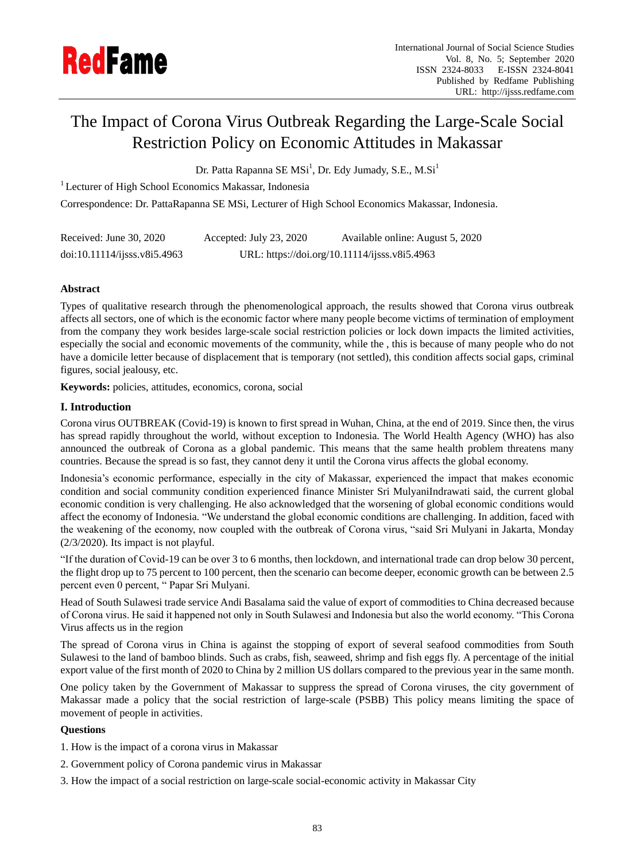

# The Impact of Corona Virus Outbreak Regarding the Large-Scale Social Restriction Policy on Economic Attitudes in Makassar

Dr. Patta Rapanna SE MSi<sup>1</sup>, Dr. Edy Jumady, S.E., M.Si<sup>1</sup>

<sup>1</sup> Lecturer of High School Economics Makassar, Indonesia

Correspondence: Dr. PattaRapanna SE MSi, Lecturer of High School Economics Makassar, Indonesia.

| Received: June 30, 2020    | Accepted: July 23, 2020                       | Available online: August 5, 2020 |
|----------------------------|-----------------------------------------------|----------------------------------|
| doi:10.11114/j;ssv8i5.4963 | URL: https://doi.org/10.11114/ijsss.v8i5.4963 |                                  |

# **Abstract**

Types of qualitative research through the phenomenological approach, the results showed that Corona virus outbreak affects all sectors, one of which is the economic factor where many people become victims of termination of employment from the company they work besides large-scale social restriction policies or lock down impacts the limited activities, especially the social and economic movements of the community, while the , this is because of many people who do not have a domicile letter because of displacement that is temporary (not settled), this condition affects social gaps, criminal figures, social jealousy, etc.

**Keywords:** policies, attitudes, economics, corona, social

# **I. Introduction**

Corona virus OUTBREAK (Covid-19) is known to first spread in Wuhan, China, at the end of 2019. Since then, the virus has spread rapidly throughout the world, without exception to Indonesia. The World Health Agency (WHO) has also announced the outbreak of Corona as a global pandemic. This means that the same health problem threatens many countries. Because the spread is so fast, they cannot deny it until the Corona virus affects the global economy.

Indonesia"s economic performance, especially in the city of Makassar, experienced the impact that makes economic condition and social community condition experienced finance Minister Sri MulyaniIndrawati said, the current global economic condition is very challenging. He also acknowledged that the worsening of global economic conditions would affect the economy of Indonesia. "We understand the global economic conditions are challenging. In addition, faced with the weakening of the economy, now coupled with the outbreak of Corona virus, "said Sri Mulyani in Jakarta, Monday (2/3/2020). Its impact is not playful.

"If the duration of Covid-19 can be over 3 to 6 months, then lockdown, and international trade can drop below 30 percent, the flight drop up to 75 percent to 100 percent, then the scenario can become deeper, economic growth can be between 2.5 percent even 0 percent, " Papar Sri Mulyani.

Head of South Sulawesi trade service Andi Basalama said the value of export of commodities to China decreased because of Corona virus. He said it happened not only in South Sulawesi and Indonesia but also the world economy. "This Corona Virus affects us in the region

The spread of Corona virus in China is against the stopping of export of several seafood commodities from South Sulawesi to the land of bamboo blinds. Such as crabs, fish, seaweed, shrimp and fish eggs fly. A percentage of the initial export value of the first month of 2020 to China by 2 million US dollars compared to the previous year in the same month.

One policy taken by the Government of Makassar to suppress the spread of Corona viruses, the city government of Makassar made a policy that the social restriction of large-scale (PSBB) This policy means limiting the space of movement of people in activities.

## **Questions**

- 1. How is the impact of a corona virus in Makassar
- 2. Government policy of Corona pandemic virus in Makassar
- 3. How the impact of a social restriction on large-scale social-economic activity in Makassar City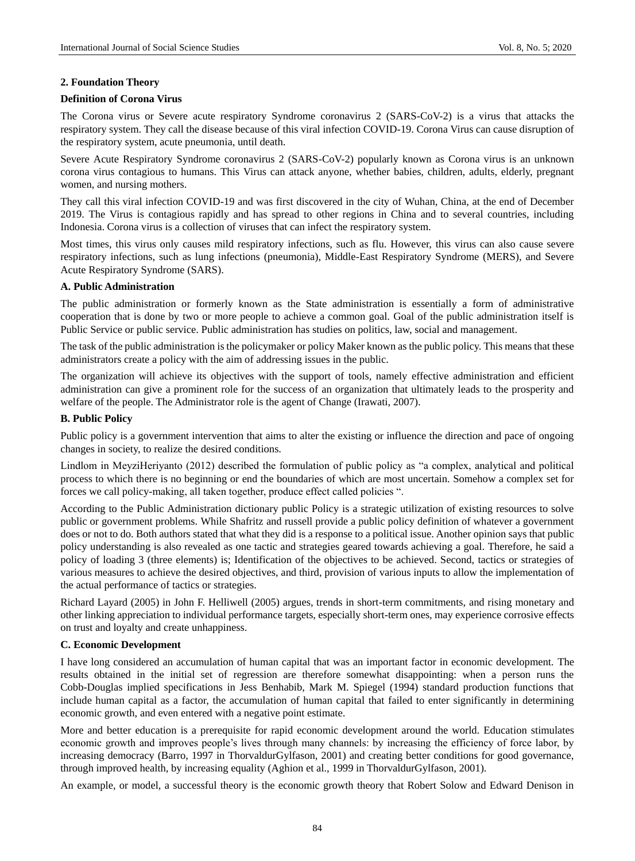### **2. Foundation Theory**

### **Definition of Corona Virus**

The Corona virus or Severe acute respiratory Syndrome coronavirus 2 (SARS-CoV-2) is a virus that attacks the respiratory system. They call the disease because of this viral infection COVID-19. Corona Virus can cause disruption of the respiratory system, acute pneumonia, until death.

Severe Acute Respiratory Syndrome coronavirus 2 (SARS-CoV-2) popularly known as Corona virus is an unknown corona virus contagious to humans. This Virus can attack anyone, whether babies, children, adults, elderly, pregnant women, and nursing mothers.

They call this viral infection COVID-19 and was first discovered in the city of Wuhan, China, at the end of December 2019. The Virus is contagious rapidly and has spread to other regions in China and to several countries, including Indonesia. Corona virus is a collection of viruses that can infect the respiratory system.

Most times, this virus only causes mild respiratory infections, such as flu. However, this virus can also cause severe respiratory infections, such as lung infections (pneumonia), Middle-East Respiratory Syndrome (MERS), and Severe Acute Respiratory Syndrome (SARS).

## **A. Public Administration**

The public administration or formerly known as the State administration is essentially a form of administrative cooperation that is done by two or more people to achieve a common goal. Goal of the public administration itself is Public Service or public service. Public administration has studies on politics, law, social and management.

The task of the public administration is the policymaker or policy Maker known as the public policy. This means that these administrators create a policy with the aim of addressing issues in the public.

The organization will achieve its objectives with the support of tools, namely effective administration and efficient administration can give a prominent role for the success of an organization that ultimately leads to the prosperity and welfare of the people. The Administrator role is the agent of Change (Irawati, 2007).

### **B. Public Policy**

Public policy is a government intervention that aims to alter the existing or influence the direction and pace of ongoing changes in society, to realize the desired conditions.

Lindlom in MeyziHeriyanto (2012) described the formulation of public policy as "a complex, analytical and political process to which there is no beginning or end the boundaries of which are most uncertain. Somehow a complex set for forces we call policy-making, all taken together, produce effect called policies ".

According to the Public Administration dictionary public Policy is a strategic utilization of existing resources to solve public or government problems. While Shafritz and russell provide a public policy definition of whatever a government does or not to do. Both authors stated that what they did is a response to a political issue. Another opinion says that public policy understanding is also revealed as one tactic and strategies geared towards achieving a goal. Therefore, he said a policy of loading 3 (three elements) is; Identification of the objectives to be achieved. Second, tactics or strategies of various measures to achieve the desired objectives, and third, provision of various inputs to allow the implementation of the actual performance of tactics or strategies.

Richard Layard (2005) in John F. Helliwell (2005) argues, trends in short-term commitments, and rising monetary and other linking appreciation to individual performance targets, especially short-term ones, may experience corrosive effects on trust and loyalty and create unhappiness.

## **C. Economic Development**

I have long considered an accumulation of human capital that was an important factor in economic development. The results obtained in the initial set of regression are therefore somewhat disappointing: when a person runs the Cobb-Douglas implied specifications in Jess Benhabib, Mark M. Spiegel (1994) standard production functions that include human capital as a factor, the accumulation of human capital that failed to enter significantly in determining economic growth, and even entered with a negative point estimate.

More and better education is a prerequisite for rapid economic development around the world. Education stimulates economic growth and improves people"s lives through many channels: by increasing the efficiency of force labor, by increasing democracy (Barro, 1997 in ThorvaldurGylfason, 2001) and creating better conditions for good governance, through improved health, by increasing equality (Aghion et al., 1999 in ThorvaldurGylfason, 2001).

An example, or model, a successful theory is the economic growth theory that Robert Solow and Edward Denison in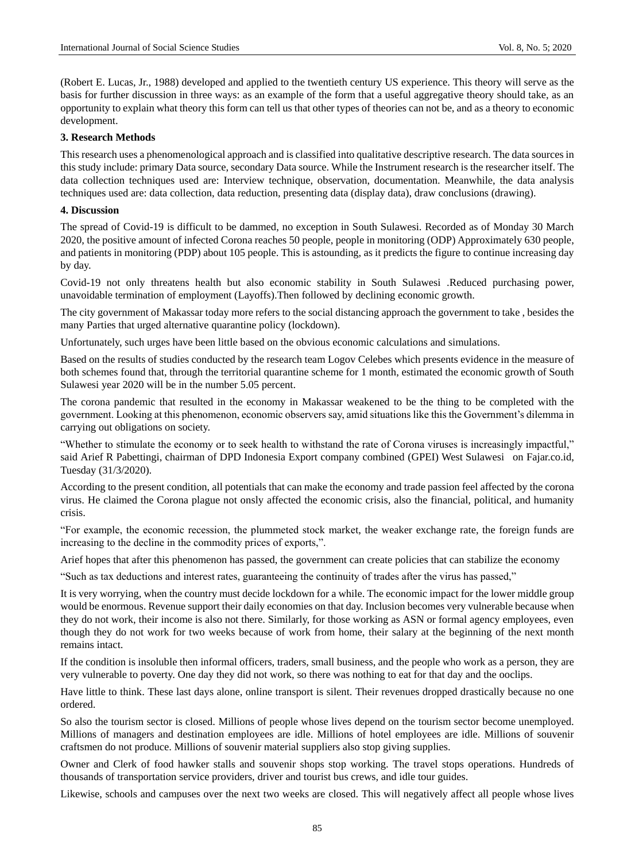(Robert E. Lucas, Jr., 1988) developed and applied to the twentieth century US experience. This theory will serve as the basis for further discussion in three ways: as an example of the form that a useful aggregative theory should take, as an opportunity to explain what theory this form can tell us that other types of theories can not be, and as a theory to economic development.

### **3. Research Methods**

This research uses a phenomenological approach and is classified into qualitative descriptive research. The data sources in this study include: primary Data source, secondary Data source. While the Instrument research is the researcher itself. The data collection techniques used are: Interview technique, observation, documentation. Meanwhile, the data analysis techniques used are: data collection, data reduction, presenting data (display data), draw conclusions (drawing).

## **4. Discussion**

The spread of Covid-19 is difficult to be dammed, no exception in South Sulawesi. Recorded as of Monday 30 March 2020, the positive amount of infected Corona reaches 50 people, people in monitoring (ODP) Approximately 630 people, and patients in monitoring (PDP) about 105 people. This is astounding, as it predicts the figure to continue increasing day by day.

Covid-19 not only threatens health but also economic stability in South Sulawesi .Reduced purchasing power, unavoidable termination of employment (Layoffs).Then followed by declining economic growth.

The city government of Makassar today more refers to the social distancing approach the government to take , besides the many Parties that urged alternative quarantine policy (lockdown).

Unfortunately, such urges have been little based on the obvious economic calculations and simulations.

Based on the results of studies conducted by the research team Logov Celebes which presents evidence in the measure of both schemes found that, through the territorial quarantine scheme for 1 month, estimated the economic growth of South Sulawesi year 2020 will be in the number 5.05 percent.

The corona pandemic that resulted in the economy in Makassar weakened to be the thing to be completed with the government. Looking at this phenomenon, economic observers say, amid situations like this the Government"s dilemma in carrying out obligations on society.

"Whether to stimulate the economy or to seek health to withstand the rate of Corona viruses is increasingly impactful," said Arief R Pabettingi, chairman of DPD Indonesia Export company combined (GPEI) West Sulawesi on Fajar.co.id, Tuesday (31/3/2020).

According to the present condition, all potentials that can make the economy and trade passion feel affected by the corona virus. He claimed the Corona plague not onsly affected the economic crisis, also the financial, political, and humanity crisis.

"For example, the economic recession, the plummeted stock market, the weaker exchange rate, the foreign funds are increasing to the decline in the commodity prices of exports,".

Arief hopes that after this phenomenon has passed, the government can create policies that can stabilize the economy

"Such as tax deductions and interest rates, guaranteeing the continuity of trades after the virus has passed,"

It is very worrying, when the country must decide lockdown for a while. The economic impact for the lower middle group would be enormous. Revenue support their daily economies on that day. Inclusion becomes very vulnerable because when they do not work, their income is also not there. Similarly, for those working as ASN or formal agency employees, even though they do not work for two weeks because of work from home, their salary at the beginning of the next month remains intact.

If the condition is insoluble then informal officers, traders, small business, and the people who work as a person, they are very vulnerable to poverty. One day they did not work, so there was nothing to eat for that day and the ooclips.

Have little to think. These last days alone, online transport is silent. Their revenues dropped drastically because no one ordered.

So also the tourism sector is closed. Millions of people whose lives depend on the tourism sector become unemployed. Millions of managers and destination employees are idle. Millions of hotel employees are idle. Millions of souvenir craftsmen do not produce. Millions of souvenir material suppliers also stop giving supplies.

Owner and Clerk of food hawker stalls and souvenir shops stop working. The travel stops operations. Hundreds of thousands of transportation service providers, driver and tourist bus crews, and idle tour guides.

Likewise, schools and campuses over the next two weeks are closed. This will negatively affect all people whose lives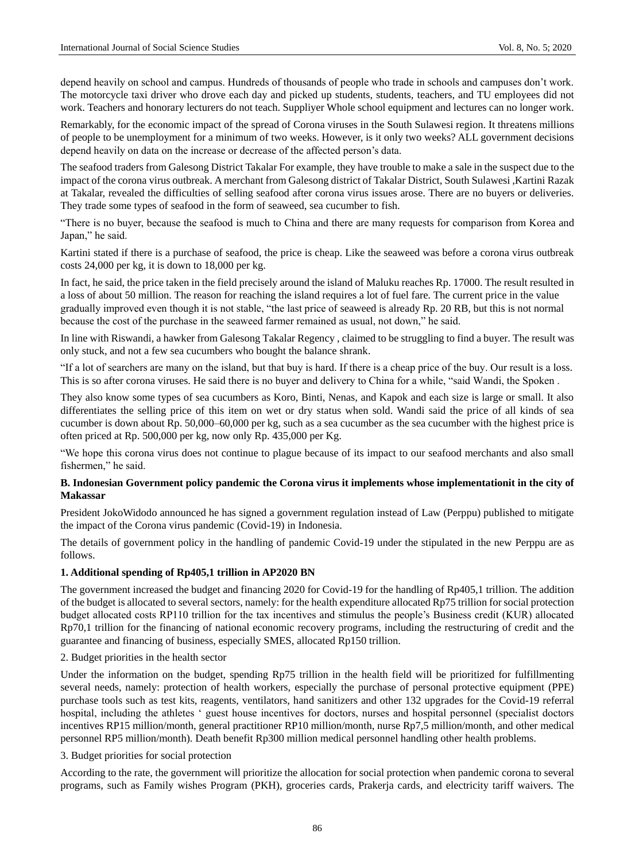depend heavily on school and campus. Hundreds of thousands of people who trade in schools and campuses don"t work. The motorcycle taxi driver who drove each day and picked up students, students, teachers, and TU employees did not work. Teachers and honorary lecturers do not teach. Suppliyer Whole school equipment and lectures can no longer work.

Remarkably, for the economic impact of the spread of Corona viruses in the South Sulawesi region. It threatens millions of people to be unemployment for a minimum of two weeks. However, is it only two weeks? ALL government decisions depend heavily on data on the increase or decrease of the affected person's data.

The seafood traders from Galesong District Takalar For example, they have trouble to make a sale in the suspect due to the impact of the corona virus outbreak. A merchant from Galesong district of Takalar District, South Sulawesi ,Kartini Razak at Takalar, revealed the difficulties of selling seafood after corona virus issues arose. There are no buyers or deliveries. They trade some types of seafood in the form of seaweed, sea cucumber to fish.

"There is no buyer, because the seafood is much to China and there are many requests for comparison from Korea and Japan," he said.

Kartini stated if there is a purchase of seafood, the price is cheap. Like the seaweed was before a corona virus outbreak costs 24,000 per kg, it is down to 18,000 per kg.

In fact, he said, the price taken in the field precisely around the island of Maluku reaches Rp. 17000. The result resulted in a loss of about 50 million. The reason for reaching the island requires a lot of fuel fare. The current price in the value gradually improved even though it is not stable, "the last price of seaweed is already Rp. 20 RB, but this is not normal because the cost of the purchase in the seaweed farmer remained as usual, not down," he said.

In line with Riswandi, a hawker from Galesong Takalar Regency , claimed to be struggling to find a buyer. The result was only stuck, and not a few sea cucumbers who bought the balance shrank.

"If a lot of searchers are many on the island, but that buy is hard. If there is a cheap price of the buy. Our result is a loss. This is so after corona viruses. He said there is no buyer and delivery to China for a while, "said Wandi, the Spoken .

They also know some types of sea cucumbers as Koro, Binti, Nenas, and Kapok and each size is large or small. It also differentiates the selling price of this item on wet or dry status when sold. Wandi said the price of all kinds of sea cucumber is down about Rp. 50,000–60,000 per kg, such as a sea cucumber as the sea cucumber with the highest price is often priced at Rp. 500,000 per kg, now only Rp. 435,000 per Kg.

"We hope this corona virus does not continue to plague because of its impact to our seafood merchants and also small fishermen," he said.

## **B. Indonesian Government policy pandemic the Corona virus it implements whose implementationit in the city of Makassar**

President JokoWidodo announced he has signed a government regulation instead of Law (Perppu) published to mitigate the impact of the Corona virus pandemic (Covid-19) in Indonesia.

The details of government policy in the handling of pandemic Covid-19 under the stipulated in the new Perppu are as follows.

## **1. Additional spending of Rp405,1 trillion in AP2020 BN**

The government increased the budget and financing 2020 for Covid-19 for the handling of Rp405,1 trillion. The addition of the budget is allocated to several sectors, namely: for the health expenditure allocated Rp75 trillion for social protection budget allocated costs RP110 trillion for the tax incentives and stimulus the people"s Business credit (KUR) allocated Rp70,1 trillion for the financing of national economic recovery programs, including the restructuring of credit and the guarantee and financing of business, especially SMES, allocated Rp150 trillion.

2. Budget priorities in the health sector

Under the information on the budget, spending Rp75 trillion in the health field will be prioritized for fulfillmenting several needs, namely: protection of health workers, especially the purchase of personal protective equipment (PPE) purchase tools such as test kits, reagents, ventilators, hand sanitizers and other 132 upgrades for the Covid-19 referral hospital, including the athletes " guest house incentives for doctors, nurses and hospital personnel (specialist doctors incentives RP15 million/month, general practitioner RP10 million/month, nurse Rp7,5 million/month, and other medical personnel RP5 million/month). Death benefit Rp300 million medical personnel handling other health problems.

#### 3. Budget priorities for social protection

According to the rate, the government will prioritize the allocation for social protection when pandemic corona to several programs, such as Family wishes Program (PKH), groceries cards, Prakerja cards, and electricity tariff waivers. The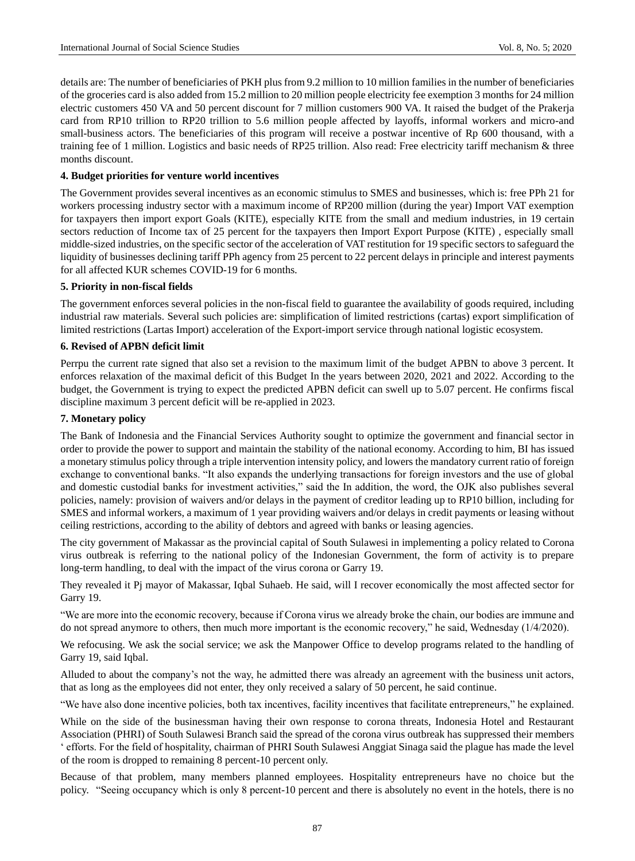details are: The number of beneficiaries of PKH plus from 9.2 million to 10 million families in the number of beneficiaries of the groceries card is also added from 15.2 million to 20 million people electricity fee exemption 3 months for 24 million electric customers 450 VA and 50 percent discount for 7 million customers 900 VA. It raised the budget of the Prakerja card from RP10 trillion to RP20 trillion to 5.6 million people affected by layoffs, informal workers and micro-and small-business actors. The beneficiaries of this program will receive a postwar incentive of Rp 600 thousand, with a training fee of 1 million. Logistics and basic needs of RP25 trillion. Also read: Free electricity tariff mechanism & three months discount.

#### **4. Budget priorities for venture world incentives**

The Government provides several incentives as an economic stimulus to SMES and businesses, which is: free PPh 21 for workers processing industry sector with a maximum income of RP200 million (during the year) Import VAT exemption for taxpayers then import export Goals (KITE), especially KITE from the small and medium industries, in 19 certain sectors reduction of Income tax of 25 percent for the taxpayers then Import Export Purpose (KITE) , especially small middle-sized industries, on the specific sector of the acceleration of VAT restitution for 19 specific sectors to safeguard the liquidity of businesses declining tariff PPh agency from 25 percent to 22 percent delays in principle and interest payments for all affected KUR schemes COVID-19 for 6 months.

## **5. Priority in non-fiscal fields**

The government enforces several policies in the non-fiscal field to guarantee the availability of goods required, including industrial raw materials. Several such policies are: simplification of limited restrictions (cartas) export simplification of limited restrictions (Lartas Import) acceleration of the Export-import service through national logistic ecosystem.

### **6. Revised of APBN deficit limit**

Perrpu the current rate signed that also set a revision to the maximum limit of the budget APBN to above 3 percent. It enforces relaxation of the maximal deficit of this Budget In the years between 2020, 2021 and 2022. According to the budget, the Government is trying to expect the predicted APBN deficit can swell up to 5.07 percent. He confirms fiscal discipline maximum 3 percent deficit will be re-applied in 2023.

## **7. Monetary policy**

The Bank of Indonesia and the Financial Services Authority sought to optimize the government and financial sector in order to provide the power to support and maintain the stability of the national economy. According to him, BI has issued a monetary stimulus policy through a triple intervention intensity policy, and lowers the mandatory current ratio of foreign exchange to conventional banks. "It also expands the underlying transactions for foreign investors and the use of global and domestic custodial banks for investment activities," said the In addition, the word, the OJK also publishes several policies, namely: provision of waivers and/or delays in the payment of creditor leading up to RP10 billion, including for SMES and informal workers, a maximum of 1 year providing waivers and/or delays in credit payments or leasing without ceiling restrictions, according to the ability of debtors and agreed with banks or leasing agencies.

The city government of Makassar as the provincial capital of South Sulawesi in implementing a policy related to Corona virus outbreak is referring to the national policy of the Indonesian Government, the form of activity is to prepare long-term handling, to deal with the impact of the virus corona or Garry 19.

They revealed it Pj mayor of Makassar, Iqbal Suhaeb. He said, will I recover economically the most affected sector for Garry 19.

"We are more into the economic recovery, because if Corona virus we already broke the chain, our bodies are immune and do not spread anymore to others, then much more important is the economic recovery," he said, Wednesday (1/4/2020).

We refocusing. We ask the social service; we ask the Manpower Office to develop programs related to the handling of Garry 19, said Iqbal.

Alluded to about the company"s not the way, he admitted there was already an agreement with the business unit actors, that as long as the employees did not enter, they only received a salary of 50 percent, he said continue.

"We have also done incentive policies, both tax incentives, facility incentives that facilitate entrepreneurs," he explained.

While on the side of the businessman having their own response to corona threats, Indonesia Hotel and Restaurant Association (PHRI) of South Sulawesi Branch said the spread of the corona virus outbreak has suppressed their members " efforts. For the field of hospitality, chairman of PHRI South Sulawesi Anggiat Sinaga said the plague has made the level of the room is dropped to remaining 8 percent-10 percent only.

Because of that problem, many members planned employees. Hospitality entrepreneurs have no choice but the policy. "Seeing occupancy which is only 8 percent-10 percent and there is absolutely no event in the hotels, there is no